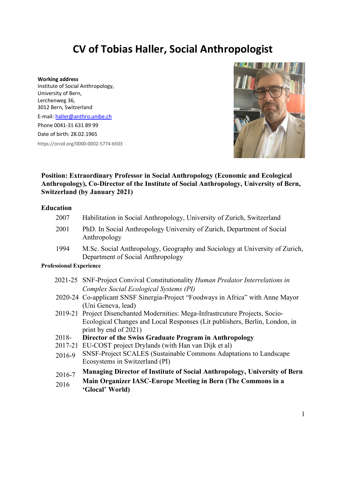# **CV of Tobias Haller, Social Anthropologist**

**Working address** Institute of Social Anthropology, University of Bern, Lerchenweg 36, 3012 Bern, Switzerland E-mail: haller@anthro.unibe.ch Phone 0041-31 631 89 99 Date of birth: 28.02.1965 https://orcid.org/0000-0002-5774-6503



# **Position: Extraordinary Professor in Social Anthropology (Economic and Ecological Anthropology), Co-Director of the Institute of Social Anthropology, University of Bern, Switzerland (by January 2021)**

#### **Education**

| 2007 | Habilitation in Social Anthropology, University of Zurich, Switzerland                                           |
|------|------------------------------------------------------------------------------------------------------------------|
| 2001 | PhD. In Social Anthropology University of Zurich, Department of Social<br>Anthropology                           |
| 1994 | M.Sc. Social Anthropology, Geography and Sociology at University of Zurich,<br>Department of Social Anthropology |

#### **Professional Experience**

- 2021-25 SNF-Project Convival Constitutionality *Human Predator Interrelations in Complex Social Ecological Systems (PI)*
- 2020-24 Co-applicant SNSF Sinergia-Project "Foodways in Africa" with Anne Mayor (Uni Geneva, lead)
- 2019-21 Project Disenchanted Modernities: Mega-Infrastrcuture Projects, Socio-Ecological Changes and Local Responses (Lit publishers, Berlin, London, in print by end of 2021)
- 2018- **Director of the Swiss Graduate Program in Anthropology**
- 2017-21 EU-COST project Drylands (with Han van Dijk et al)
- 2016-9 SNSF-Project SCALES (Sustainable Commons Adaptations to Landscape Ecosystems in Switzerland (PI)
- 2016-7 **Managing Director of Institute of Social Anthropology, University of Bern**
- 2016 **Main Organizer IASC-Europe Meeting in Bern (The Commons in a 'Glocal' World)**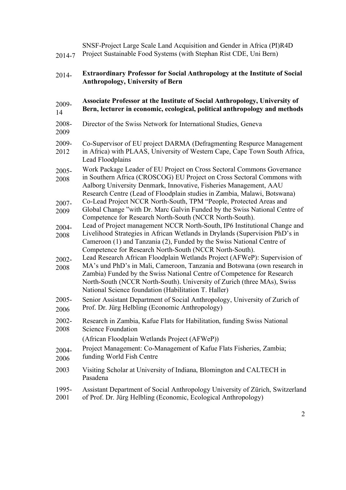| 2014-7           | SNSF-Project Large Scale Land Acquisition and Gender in Africa (PI)R4D<br>Project Sustainable Food Systems (with Stephan Rist CDE, Uni Bern)                                                                                                                                                                                                                       |
|------------------|--------------------------------------------------------------------------------------------------------------------------------------------------------------------------------------------------------------------------------------------------------------------------------------------------------------------------------------------------------------------|
| 2014-            | <b>Extraordinary Professor for Social Anthropology at the Institute of Social</b><br><b>Anthropology, University of Bern</b>                                                                                                                                                                                                                                       |
| 2009-<br>14      | Associate Professor at the Institute of Social Anthropology, University of<br>Bern, lecturer in economic, ecological, political anthropology and methods                                                                                                                                                                                                           |
| 2008-<br>2009    | Director of the Swiss Network for International Studies, Geneva                                                                                                                                                                                                                                                                                                    |
| 2009-<br>2012    | Co-Supervisor of EU project DARMA (Defragmenting Respurce Management<br>in Africa) with PLAAS, University of Western Cape, Cape Town South Africa,<br>Lead Floodplains                                                                                                                                                                                             |
| 2005-<br>2008    | Work Package Leader of EU Project on Cross Sectoral Commons Governance<br>in Southern Africa (CROSCOG) EU Project on Cross Sectoral Commons with<br>Aalborg University Denmark, Innovative, Fisheries Management, AAU<br>Research Centre (Lead of Floodplain studies in Zambia, Malawi, Botswana)                                                                  |
| 2007-<br>2009    | Co-Lead Project NCCR North-South, TPM "People, Protected Areas and<br>Global Change "with Dr. Marc Galvin Funded by the Swiss National Centre of<br>Competence for Research North-South (NCCR North-South).                                                                                                                                                        |
| 2004-<br>2008    | Lead of Project management NCCR North-South, IP6 Institutional Change and<br>Livelihood Strategies in African Wetlands in Drylands (Supervision PhD's in<br>Cameroon (1) and Tanzania (2), Funded by the Swiss National Centre of<br>Competence for Research North-South (NCCR North-South).                                                                       |
| 2002-<br>2008    | Lead Research African Floodplain Wetlands Project (AFWeP): Supervision of<br>MA's und PhD's in Mali, Cameroon, Tanzania and Botswana (own research in<br>Zambia) Funded by the Swiss National Centre of Competence for Research<br>North-South (NCCR North-South). University of Zurich (three MAs), Swiss<br>National Science foundation (Habilitation T. Haller) |
| $2005 -$<br>2006 | Senior Assistant Department of Social Anthropology, University of Zurich of<br>Prof. Dr. Jürg Helbling (Economic Anthropology)                                                                                                                                                                                                                                     |
| 2002-<br>2008    | Research in Zambia, Kafue Flats for Habilitation, funding Swiss National<br><b>Science Foundation</b>                                                                                                                                                                                                                                                              |
|                  | (African Floodplain Wetlands Project (AFWeP))                                                                                                                                                                                                                                                                                                                      |
| 2004-<br>2006    | Project Management: Co-Management of Kafue Flats Fisheries, Zambia;<br>funding World Fish Centre                                                                                                                                                                                                                                                                   |
| 2003             | Visiting Scholar at University of Indiana, Blomington and CALTECH in<br>Pasadena                                                                                                                                                                                                                                                                                   |
| 1995-<br>2001    | Assistant Department of Social Anthropology University of Zürich, Switzerland<br>of Prof. Dr. Jürg Helbling (Economic, Ecological Anthropology)                                                                                                                                                                                                                    |
|                  |                                                                                                                                                                                                                                                                                                                                                                    |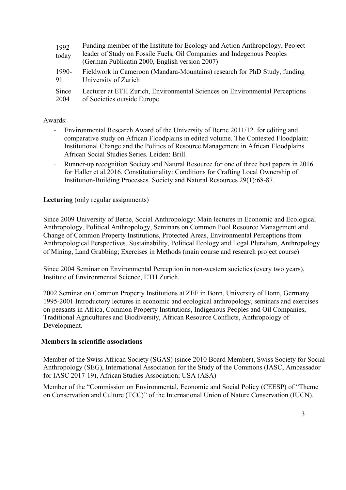1992 today Funding member of the Institute for Ecology and Action Anthropology, Peoject leader of Study on Fossile Fuels, Oil Companies and Indegenous Peoples (German Publicatin 2000, English version 2007) 1990- 91 Fieldwork in Cameroon (Mandara-Mountains) research for PhD Study, funding University of Zurich **Since** 2004 Lecturer at ETH Zurich, Environmental Sciences on Environmental Perceptions of Societies outside Europe

# Awards:

- Environmental Research Award of the University of Berne 2011/12. for editing and comparative study on African Floodplains in edited volume. The Contested Floodplain: Institutional Change and the Politics of Resource Management in African Floodplains. African Social Studies Series. Leiden: Brill.
- Runner-up recognition Society and Natural Resource for one of three best papers in 2016 for Haller et al.2016. Constitutionality: Conditions for Crafting Local Ownership of Institution-Building Processes. Society and Natural Resources 29(1):68-87.

# **Lecturing** (only regular assignments)

Since 2009 University of Berne, Social Anthropology: Main lectures in Economic and Ecological Anthropology, Political Anthropology, Seminars on Common Pool Resource Management and Change of Common Property Institutions, Protected Areas, Environmental Perceptions from Anthropological Perspectives, Sustainability, Political Ecology and Legal Pluralism, Anthropology of Mining, Land Grabbing; Exercises in Methods (main course and research project course)

Since 2004 Seminar on Environmental Perception in non-western societies (every two years), Institute of Environmental Science, ETH Zurich.

2002 Seminar on Common Property Institutions at ZEF in Bonn, University of Bonn, Germany 1995-2001 Introductory lectures in economic and ecological anthropology, seminars and exercises on peasants in Africa, Common Property Institutions, Indigenous Peoples and Oil Companies, Traditional Agricultures and Biodiversity, African Resource Conflicts, Anthropology of Development.

#### **Members in scientific associations**

Member of the Swiss African Society (SGAS) (since 2010 Board Member), Swiss Society for Social Anthropology (SEG), International Association for the Study of the Commons (IASC, Ambassador for IASC 2017-19), African Studies Association; USA (ASA)

Member of the "Commission on Environmental, Economic and Social Policy (CEESP) of "Theme on Conservation and Culture (TCC)" of the International Union of Nature Conservation (IUCN).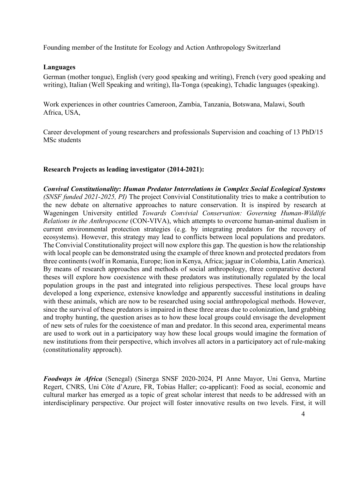Founding member of the Institute for Ecology and Action Anthropology Switzerland

# **Languages**

German (mother tongue), English (very good speaking and writing), French (very good speaking and writing), Italian (Well Speaking and writing), Ila-Tonga (speaking), Tchadic languages (speaking).

Work experiences in other countries Cameroon, Zambia, Tanzania, Botswana, Malawi, South Africa, USA,

Career development of young researchers and professionals Supervision and coaching of 13 PhD/15 MSc students

# **Research Projects as leading investigator (2014-2021):**

*Convival Constitutionality***:** *Human Predator Interrelations in Complex Social Ecological Systems (SNSF funded 2021-2025, PI)* The project Convivial Constitutionality tries to make a contribution to the new debate on alternative approaches to nature conservation. It is inspired by research at Wageningen University entitled *Towards Convivial Conservation: Governing Human-Wildlife Relations in the Anthropocene* (CON-VIVA), which attempts to overcome human-animal dualism in current environmental protection strategies (e.g. by integrating predators for the recovery of ecosystems). However, this strategy may lead to conflicts between local populations and predators. The Convivial Constitutionality project will now explore this gap. The question is how the relationship with local people can be demonstrated using the example of three known and protected predators from three continents (wolf in Romania, Europe; lion in Kenya, Africa; jaguar in Colombia, Latin America). By means of research approaches and methods of social anthropology, three comparative doctoral theses will explore how coexistence with these predators was institutionally regulated by the local population groups in the past and integrated into religious perspectives. These local groups have developed a long experience, extensive knowledge and apparently successful institutions in dealing with these animals, which are now to be researched using social anthropological methods. However, since the survival of these predators is impaired in these three areas due to colonization, land grabbing and trophy hunting, the question arises as to how these local groups could envisage the development of new sets of rules for the coexistence of man and predator. In this second area, experimental means are used to work out in a participatory way how these local groups would imagine the formation of new institutions from their perspective, which involves all actors in a participatory act of rule-making (constitutionality approach).

*Foodways in Africa* (Senegal) (Sinerga SNSF 2020-2024, PI Anne Mayor, Uni Genva, Martine Regert, CNRS, Uni Côte d'Azure, FR, Tobias Haller; co-applicant): Food as social, economic and cultural marker has emerged as a topic of great scholar interest that needs to be addressed with an interdisciplinary perspective. Our project will foster innovative results on two levels. First, it will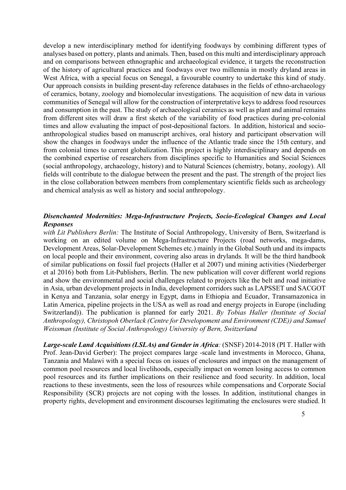develop a new interdisciplinary method for identifying foodways by combining different types of analyses based on pottery, plants and animals. Then, based on this multi and interdisciplinary approach and on comparisons between ethnographic and archaeological evidence, it targets the reconstruction of the history of agricultural practices and foodways over two millennia in mostly dryland areas in West Africa, with a special focus on Senegal, a favourable country to undertake this kind of study. Our approach consists in building present-day reference databases in the fields of ethno-archaeology of ceramics, botany, zoology and biomolecular investigations. The acquisition of new data in various communities of Senegal will allow for the construction of interpretative keys to address food resources and consumption in the past. The study of archaeological ceramics as well as plant and animal remains from different sites will draw a first sketch of the variability of food practices during pre-colonial times and allow evaluating the impact of post-depositional factors. In addition, historical and socioanthropological studies based on manuscript archives, oral history and participant observation will show the changes in foodways under the influence of the Atlantic trade since the 15th century, and from colonial times to current globalization. This project is highly interdisciplinary and depends on the combined expertise of researchers from disciplines specific to Humanities and Social Sciences (social anthropology, archaeology, history) and to Natural Sciences (chemistry, botany, zoology). All fields will contribute to the dialogue between the present and the past. The strength of the project lies in the close collaboration between members from complementary scientific fields such as archeology and chemical analysis as well as history and social anthropology.

# *Disenchanted Modernities: Mega-Infrastructure Projects, Socio-Ecological Changes and Local Responses*

*with Lit Publishers Berlin:* The Institute of Social Anthropology, University of Bern, Switzerland is working on an edited volume on Mega-Infrastructure Projects (road networks, mega-dams, Development Areas, Solar-Development Schemes etc.) mainly in the Global South und and its impacts on local people and their environment, covering also areas in drylands*.* It will be the third handbook of similar publications on fossil fuel projects (Haller et al 2007) und mining activities (Niederberger et al 2016) both from Lit-Publishers, Berlin. The new publication will cover different world regions and show the environmental and social challenges related to projects like the belt and road initiative in Asia, urban development projects in India, development corridors such as LAPSSET und SACGOT in Kenya and Tanzania, solar energy in Egypt, dams in Ethiopia and Ecuador, Transamazonica in Latin America, pipeline projects in the USA as well as road and energy projects in Europe (including Switzerland)). The publication is planned for early 2021. *By Tobias Haller (Institute of Social Anthropology), Christopoh Oberlack (Centre for Developoment and Environment (CDE)) and Samuel Weissman (Institute of Social Anthropology) University of Bern, Switzerland* 

*Large-scale Land Acquisitions(LSLAs) and Gender in Africa:* (SNSF) 2014-2018 (PI T. Haller with Prof. Jean-David Gerber): The project compares large -scale land investments in Morocco, Ghana, Tanzania and Malawi with a special focus on issues of enclosures and impact on the management of common pool resources and local livelihoods, especially impact on women losing access to common pool resources and its further implications on their resilience and food security. In addition, local reactions to these investments, seen the loss of resources while compensations and Corporate Social Responsibility (SCR) projects are not coping with the losses. In addition, institutional changes in property rights, development and environment discourses legitimating the enclosures were studied. It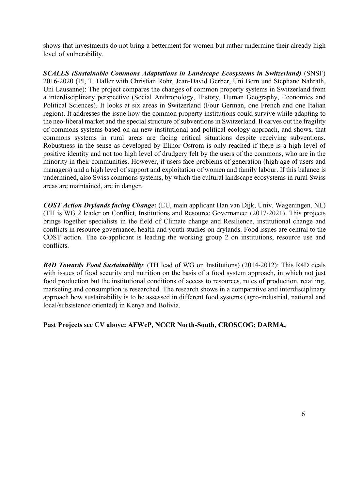shows that investments do not bring a betterment for women but rather undermine their already high level of vulnerability.

*SCALES (Sustainable Commons Adaptations in Landscape Ecosystems in Switzerland)* (SNSF) 2016-2020 (PI, T. Haller with Christian Rohr, Jean-David Gerber, Uni Bern und Stephane Nahrath, Uni Lausanne): The project compares the changes of common property systems in Switzerland from a interdisciplinary perspective (Social Anthropology, History, Human Geography, Economics and Political Sciences). It looks at six areas in Switzerland (Four German, one French and one Italian region). It addresses the issue how the common property institutions could survive while adapting to the neo-liberal market and the special structure of subventions in Switzerland. It carves out the fragility of commons systems based on an new institutional and political ecology approach, and shows, that commons systems in rural areas are facing critical situations despite receiving subventions. Robustness in the sense as developed by Elinor Ostrom is only reached if there is a high level of positive identity and not too high level of drudgery felt by the users of the commons, who are in the minority in their communities. However, if users face problems of generation (high age of users and managers) and a high level of support and exploitation of women and family labour. If this balance is undermined, also Swiss commons systems, by which the cultural landscape ecosystems in rural Swiss areas are maintained, are in danger.

*COST Action Drylands facing Change:* (EU, main applicant Han van Dijk, Univ. Wageningen, NL) (TH is WG 2 leader on Conflict, Institutions and Resource Governance: (2017-2021). This projects brings together specialists in the field of Climate change and Resilience, institutional change and conflicts in resource governance, health and youth studies on drylands. Food issues are central to the COST action. The co-applicant is leading the working group 2 on institutions, resource use and conflicts.

*R4D Towards Food Sustainability*: (TH lead of WG on Institutions) (2014-2012): This R4D deals with issues of food security and nutrition on the basis of a food system approach, in which not just food production but the institutional conditions of access to resources, rules of production, retailing, marketing and consumption is researched. The research shows in a comparative and interdisciplinary approach how sustainability is to be assessed in different food systems (agro-industrial, national and local/subsistence oriented) in Kenya and Bolivia.

**Past Projects see CV above: AFWeP, NCCR North-South, CROSCOG; DARMA,**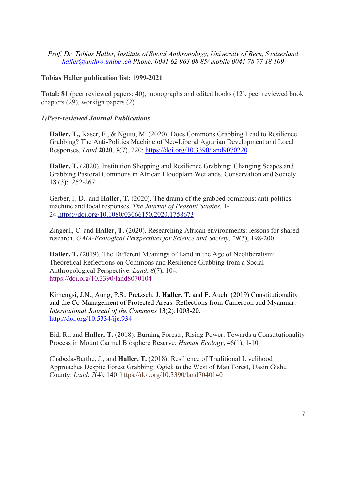*Prof. Dr. Tobias Haller, Institute of Social Anthropology, University of Bern, Switzerland haller@anthro.unibe .ch Phone: 0041 62 963 08 85/ mobile 0041 78 77 18 109*

## **Tobias Haller publication list: 1999-2021**

**Total: 81** (peer reviewed papers: 40), monographs and edited books (12), peer reviewed book chapters (29), workign papers (2)

## *1)Peer-reviewed Journal Publications*

**Haller, T.,** Käser, F., & Ngutu, M. (2020). Does Commons Grabbing Lead to Resilience Grabbing? The Anti-Politics Machine of Neo-Liberal Agrarian Development and Local Responses, *Land* **2020**, *9*(7), 220; https://doi.org/10.3390/land9070220

**Haller, T.** (2020). Institution Shopping and Resilience Grabbing: Changing Scapes and Grabbing Pastoral Commons in African Floodplain Wetlands. Conservation and Society 18 (3): 252-267.

Gerber, J. D., and **Haller, T.** (2020). The drama of the grabbed commons: anti-politics machine and local responses. *The Journal of Peasant Studies*, 1- 24.https://doi.org/10.1080/03066150.2020.1758673

Zingerli, C. and **Haller, T.** (2020). Researching African environments: lessons for shared research. *GAIA-Ecological Perspectives for Science and Society*, *29*(3), 198-200.

**Haller, T.** (2019). The Different Meanings of Land in the Age of Neoliberalism: Theoretical Reflections on Commons and Resilience Grabbing from a Social Anthropological Perspective. *Land*, *8*(7), 104. https://doi.org/10.3390/land8070104

Kimengsi, J.N., Aung, P.S., Pretzsch, J. **Haller, T.** and E. Auch. (2019) Constitutionality and the Co-Management of Protected Areas: Reflections from Cameroon and Myanmar. *International Journal of the Commons* 13(2):1003-20. http://doi.org/10.5334/ijc.934

Eid, R., and **Haller, T.** (2018). Burning Forests, Rising Power: Towards a Constitutionality Process in Mount Carmel Biosphere Reserve. *Human Ecology*, 46(1), 1-10.

Chabeda-Barthe, J., and **Haller, T.** (2018). Resilience of Traditional Livelihood Approaches Despite Forest Grabbing: Ogiek to the West of Mau Forest, Uasin Gishu County. *Land*, *7*(4), 140. https://doi.org/10.3390/land7040140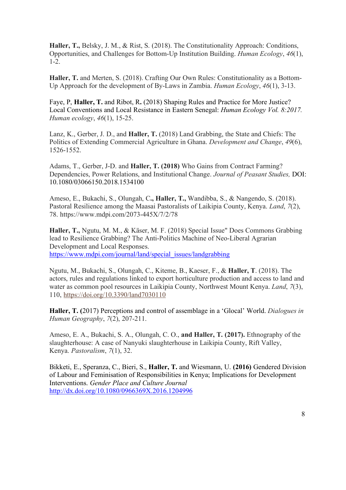**Haller, T.,** Belsky, J. M., & Rist, S. (2018). The Constitutionality Approach: Conditions, Opportunities, and Challenges for Bottom-Up Institution Building. *Human Ecology*, *46*(1), 1-2.

**Haller, T.** and Merten, S. (2018). Crafting Our Own Rules: Constitutionality as a Bottom-Up Approach for the development of By-Laws in Zambia. *Human Ecology*, *46*(1), 3-13.

Faye, P, **Haller, T.** and Ribot, R**.** (2018) Shaping Rules and Practice for More Justice? Local Conventions and Local Resistance in Eastern Senegal: *Human Ecology Vol. 8:2017. Human ecology*, *46*(1), 15-25.

Lanz, K., Gerber, J. D., and **Haller, T.** (2018) Land Grabbing, the State and Chiefs: The Politics of Extending Commercial Agriculture in Ghana. *Development and Change*, *49*(6), 1526-1552.

Adams, T., Gerber, J-D. and **Haller, T. (2018)** Who Gains from Contract Farming? Dependencies, Power Relations, and Institutional Change. *Journal of Peasant Studies,* DOI: 10.1080/03066150.2018.1534100

Ameso, E., Bukachi, S., Olungah, C**., Haller, T.,** Wandibba, S., & Nangendo, S. (2018). Pastoral Resilience among the Maasai Pastoralists of Laikipia County, Kenya. *Land*, *7*(2), 78. https://www.mdpi.com/2073-445X/7/2/78

**Haller, T.,** Ngutu, M. M., & Käser, M. F. (2018) Special Issue" Does Commons Grabbing lead to Resilience Grabbing? The Anti-Politics Machine of Neo-Liberal Agrarian Development and Local Responses. https://www.mdpi.com/journal/land/special\_issues/landgrabbing

Ngutu, M., Bukachi, S., Olungah, C., Kiteme, B., Kaeser, F., & **Haller, T**. (2018). The actors, rules and regulations linked to export horticulture production and access to land and water as common pool resources in Laikipia County, Northwest Mount Kenya. *Land*, *7*(3), 110, https://doi.org/10.3390/land7030110

**Haller, T. (**2017) Perceptions and control of assemblage in a 'Glocal' World. *Dialogues in Human Geography*, *7*(2), 207-211.

Ameso, E. A., Bukachi, S. A., Olungah, C. O., **and Haller, T. (2017).** Ethnography of the slaughterhouse: A case of Nanyuki slaughterhouse in Laikipia County, Rift Valley, Kenya. *Pastoralism*, *7*(1), 32.

Bikketi, E., Speranza, C., Bieri, S., **Haller, T.** and Wiesmann, U. **(2016)** Gendered Division of Labour and Feminisation of Responsibilities in Kenya; Implications for Development Interventions. *Gender Place and Culture Journal* http://dx.doi.org/10.1080/0966369X.2016.1204996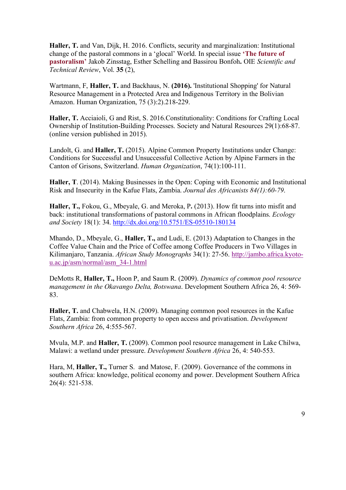**Haller, T.** and Van, Dijk, H. 2016. Conflicts, security and marginalization: Institutional change of the pastoral commons in a 'glocal' World. In special issue **'The future of pastoralism'** Jakob Zinsstag, Esther Schelling and Bassirou Bonfoh**.** OIE *Scientific and Technical Review*, Vol. **35** (2),

Wartmann, F, **Haller, T.** and Backhaus, N. **(2016).** 'Institutional Shopping' for Natural Resource Management in a Protected Area and Indigenous Territory in the Bolivian Amazon. Human Organization, 75 (3):2).218-229.

**Haller, T.** Acciaioli, G and Rist, S. 2016.Constitutionality: Conditions for Crafting Local Ownership of Institution-Building Processes. Society and Natural Resources 29(1):68-87. (online version published in 2015).

Landolt, G. and **Haller, T.** (2015). Alpine Common Property Institutions under Change: Conditions for Successful and Unsuccessful Collective Action by Alpine Farmers in the Canton of Grisons, Switzerland. *Human Organization*, 74(1):100-111.

**Haller, T**. (2014). Making Businesses in the Open: Coping with Economic and Institutional Risk and Insecurity in the Kafue Flats, Zambia. *Journal des Africanists 84(1):60-79*.

**Haller, T.,** Fokou, G., Mbeyale, G. and Meroka, P**.** (2013). How fit turns into misfit and back: institutional transformations of pastoral commons in African floodplains. *Ecology and Society* 18(1): 34. http://dx.doi.org/10.5751/ES-05510-180134

Mhando, D., Mbeyale, G., **Haller, T.,** and Ludi, E. (2013) Adaptation to Changes in the Coffee Value Chain and the Price of Coffee among Coffee Producers in Two Villages in Kilimanjaro, Tanzania. *African Study Monographs* 34(1): 27-56. http://jambo.africa.kyotou.ac.jp/asm/normal/asm\_34-1.html

DeMotts R, **Haller, T.,** Hoon P, and Saum R. (2009). *Dynamics of common pool resource management in the Okavango Delta, Botswana*. Development Southern Africa 26, 4: 569- 83.

**Haller, T.** and Chabwela, H.N. (2009). Managing common pool resources in the Kafue Flats, Zambia: from common property to open access and privatisation. *Development Southern Africa* 26, 4:555-567.

Mvula, M.P. and **Haller, T.** (2009). Common pool resource management in Lake Chilwa, Malawi: a wetland under pressure. *Development Southern Africa* 26, 4: 540-553.

Hara, M, **Haller, T.,** Turner S. and Matose, F. (2009). Governance of the commons in southern Africa: knowledge, political economy and power. Development Southern Africa 26(4): 521-538.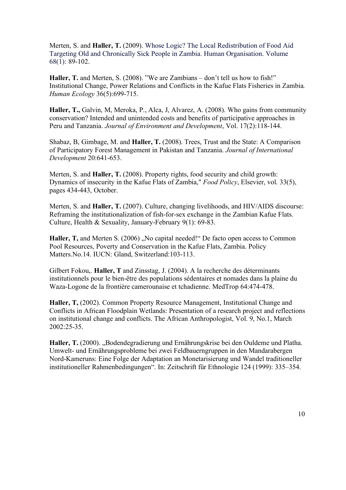Merten, S. and **Haller, T.** (2009). Whose Logic? The Local Redistribution of Food Aid Targeting Old and Chronically Sick People in Zambia. Human Organisation. Volume 68(1): 89-102.

Haller, T. and Merten, S. (2008). "We are Zambians – don't tell us how to fish!" Institutional Change, Power Relations and Conflicts in the Kafue Flats Fisheries in Zambia*. Human Ecology* 36(5):699-715.

**Haller, T.,** Galvin, M, Meroka, P., Alca, J, Alvarez, A. (2008). Who gains from community conservation? Intended and unintended costs and benefits of participative approaches in Peru and Tanzania. *Journal of Environment and Development*, Vol. 17(2):118-144.

Shabaz, B, Gimbage, M. and **Haller, T.** (2008). Trees, Trust and the State: A Comparison of Participatory Forest Management in Pakistan and Tanzania. *Journal of International Development* 20:641-653.

Merten, S. and **Haller, T.** (2008). Property rights, food security and child growth: Dynamics of insecurity in the Kafue Flats of Zambia," *Food Policy*, Elsevier, vol. 33(5), pages 434-443, October.

Merten, S. and **Haller, T.** (2007). Culture, changing livelihoods, and HIV/AIDS discourse: Reframing the institutionalization of fish-for-sex exchange in the Zambian Kafue Flats. Culture, Health & Sexuality, January-February 9(1): 69-83.

Haller, T, and Merten S. (2006) "No capital needed!" De facto open access to Common Pool Resources, Poverty and Conservation in the Kafue Flats, Zambia. Policy Matters.No.14. IUCN: Gland, Switzerland:103-113.

Gilbert Fokou,. **Haller, T** and Zinsstag, J. (2004). A la recherche des déterminants institutionnels pour le bien-être des populations sédentaires et nomades dans la plaine du Waza-Logone de la frontière camerounaise et tchadienne. MedTrop 64:474-478.

**Haller, T,** (2002). Common Property Resource Management, Institutional Change and Conflicts in African Floodplain Wetlands: Presentation of a research project and reflections on institutional change and conflicts. The African Anthropologist, Vol. 9, No.1, March 2002:25-35.

Haller, T. (2000). "Bodendegradierung und Ernährungskrise bei den Ouldeme und Platha. Umwelt- und Ernährungsprobleme bei zwei Feldbauerngruppen in den Mandarabergen Nord-Kameruns: Eine Folge der Adaptation an Monetarisierung und Wandel traditioneller institutioneller Rahmenbedingungen". In: Zeitschrift für Ethnologie 124 (1999): 335–354.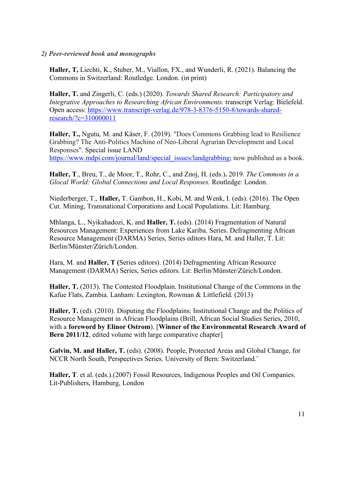# *2) Peer-reviewed book and monographs*

**Haller, T,** Liechti, K., Stuber, M., Viallon, FX., and Wunderli, R. (2021). Balancing the Commons in Switzerland: Routledge. London. (in print)

**Haller, T.** and Zingerli, C. (eds.) (2020). *Towards Shared Research: Participatory and Integrative Approaches to Researching African Environments.* transcript Verlag: Bielefeld. Open access: https://www.transcript-verlag.de/978-3-8376-5150-8/towards-sharedresearch/?c=310000011

**Haller, T.,** Ngutu, M. and Käser, F. (2019). "Does Commons Grabbing lead to Resilience Grabbing? The Anti-Politics Machine of Neo-Liberal Agrarian Development and Local Responses". Special issue LAND https://www.mdpi.com/journal/land/special\_issues/landgrabbing; now published as a book.

**Haller, T**., Breu, T., de Moor, T., Rohr, C., and Znoj, H. (eds.)**.** 2019. *The Commons in a Glocal World: Global Connections and Local Responses.* Routledge: London.

Niederberger, T., **Haller,** T. Gambon, H., Kobi, M. and Wenk, I. (eds). (2016). The Open Cut. Mining, Transnational Corporations and Local Populations. Lit: Hamburg.

Mhlanga, L., Nyikahadozi, K. and **Haller, T.** (eds). (2014) Fragmentation of Natural Resources Management: Experiences from Lake Kariba. Series. Defragmenting African Resource Management (DARMA) Series, Series editors Hara, M. and Haller, T. Lit: Berlin/Münster/Zürich/London.

Hara, M. and **Haller, T (**Series editors). (2014) Defragmenting African Resource Management (DARMA) Series, Series editors. Lit: Berlin/Münster/Zürich/London.

**Haller, T.** (2013). The Contested Floodplain. Institutional Change of the Commons in the Kafue Flats, Zambia. Lanham: Lexington, Rowman & Littlefield. (2013)

**Haller, T.** (ed). (2010). Disputing the Floodplains: Institutional Change and the Politics of Resource Management in African Floodplains (Brill, African Social Studies Series, 2010, with a **foreword by Elinor Ostrom**). [**Winner of the Environmental Research Award of Bern 2011/12**, edited volume with large comparative chapter

**Galvin, M. and Haller, T.** (eds). (2008). People, Protected Areas and Global Change, for NCCR North South, Perspectives Series. University of Bern: Switzerland.¨

**Haller, T**. et al. (eds.).(2007) Fossil Resources, Indigenous Peoples and Oil Companies. Lit-Publishers, Hamburg, London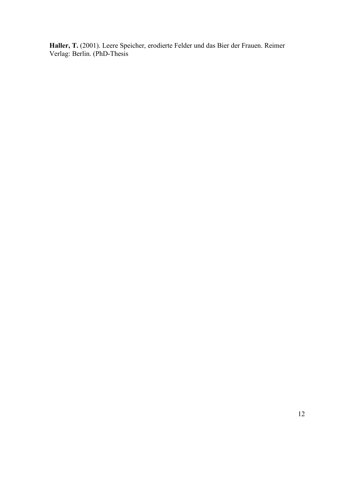**Haller, T.** (2001). Leere Speicher, erodierte Felder und das Bier der Frauen. Reimer Verlag: Berlin. (PhD-Thesis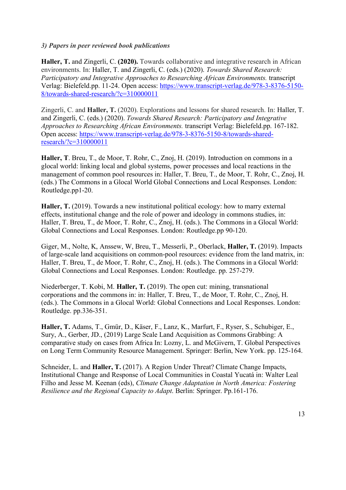# *3) Papers in peer reviewed book publications*

**Haller, T.** and Zingerli, C. **(2020).** Towards collaborative and integrative research in African environments. In: Haller, T. and Zingerli, C. (eds.) (2020). *Towards Shared Research: Participatory and Integrative Approaches to Researching African Environments.* transcript Verlag: Bielefeld.pp. 11-24. Open access: https://www.transcript-verlag.de/978-3-8376-5150- 8/towards-shared-research/?c=310000011

Zingerli, C. and **Haller, T.** (2020). Explorations and lessons for shared research. In: Haller, T. and Zingerli, C. (eds.) (2020). *Towards Shared Research: Participatory and Integrative Approaches to Researching African Environments.* transcript Verlag: Bielefeld.pp. 167-182. Open access: https://www.transcript-verlag.de/978-3-8376-5150-8/towards-sharedresearch/?c=310000011

**Haller, T**. Breu, T., de Moor, T. Rohr, C., Znoj, H. (2019). Introduction on commons in a glocal world: linking local and global systems, power processes and local reactions in the management of common pool resources in: Haller, T. Breu, T., de Moor, T. Rohr, C., Znoj, H. (eds.) The Commons in a Glocal World Global Connections and Local Responses. London: Routledge.pp1-20.

**Haller, T.** (2019). Towards a new institutional political ecology: how to marry external effects, institutional change and the role of power and ideology in commons studies, in: Haller, T. Breu, T., de Moor, T. Rohr, C., Znoj, H. (eds.). The Commons in a Glocal World: Global Connections and Local Responses. London: Routledge.pp 90-120.

Giger, M., Nolte, K, Anssew, W, Breu, T., Messerli, P., Oberlack, **Haller, T.** (2019). Impacts of large-scale land acquisitions on common-pool resources: evidence from the land matrix, in: Haller, T. Breu, T., de Moor, T. Rohr, C., Znoj, H. (eds.). The Commons in a Glocal World: Global Connections and Local Responses. London: Routledge. pp. 257-279.

Niederberger, T. Kobi, M. **Haller, T.** (2019). The open cut: mining, transnational corporations and the commons in: in: Haller, T. Breu, T., de Moor, T. Rohr, C., Znoj, H. (eds.). The Commons in a Glocal World: Global Connections and Local Responses. London: Routledge. pp.336-351.

**Haller, T.** Adams, T., Gmür, D., Käser, F., Lanz, K., Marfurt, F., Ryser, S., Schubiger, E., Sury, A., Gerber, JD., (2019) Large Scale Land Acquisition as Commons Grabbing: A comparative study on cases from Africa In: Lozny, L. and McGivern, T. Global Perspectives on Long Term Community Resource Management. Springer: Berlin, New York. pp. 125-164.

Schneider, L. and **Haller, T.** (2017). A Region Under Threat? Climate Change Impacts, Institutional Change and Response of Local Communities in Coastal Yucatá in: Walter Leal Filho and Jesse M. Keenan (eds), *Climate Change Adaptation in North America: Fostering Resilience and the Regional Capacity to Adapt*. Berlin: Springer. Pp.161-176.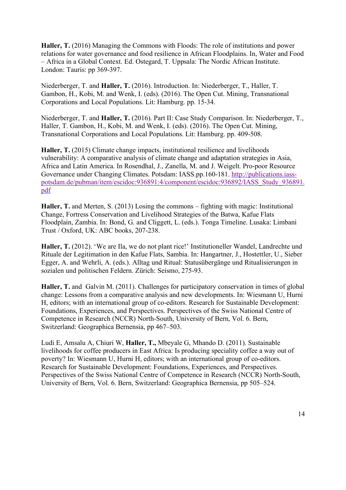**Haller, T.** (2016) Managing the Commons with Floods: The role of institutions and power relations for water governance and food resilience in African Floodplains. In, Water and Food – Africa in a Global Context. Ed. Ostegard, T. Uppsala: The Nordic African Institute. London: Tauris: pp 369-397.

Niederberger, T. and **Haller, T.** (2016). Introduction. In: Niederberger, T., Haller, T. Gambon, H., Kobi, M. and Wenk, I. (eds). (2016). The Open Cut. Mining, Transnational Corporations and Local Populations. Lit: Hamburg. pp. 15-34.

Niederberger, T. and **Haller, T.** (2016). Part II: Case Study Comparison. In: Niederberger, T., Haller, T. Gambon, H., Kobi, M. and Wenk, I. (eds). (2016). The Open Cut. Mining, Transnational Corporations and Local Populations. Lit: Hamburg. pp. 409-508.

**Haller, T.** (2015) Climate change impacts, institutional resilience and livelihoods vulnerability: A comparative analysis of climate change and adaptation strategies in Asia, Africa and Latin America. In Rosendhal, J., Zanella, M. and J. Weigelt. Pro-poor Resource Governance under Changing Climates. Potsdam: IASS.pp.160-181. http://publications.iasspotsdam.de/pubman/item/escidoc:936891:4/component/escidoc:936892/IASS\_Study\_936891. pdf

**Haller, T.** and Merten, S. (2013) Losing the commons – fighting with magic: Institutional Change, Fortress Conservation and Livelihood Strategies of the Batwa, Kafue Flats Floodplain, Zambia. In: Bond, G. and Cliggett, L. (eds.). Tonga Timeline. Lusaka: Limbani Trust / Oxford, UK: ABC books, 207-238.

**Haller, T.** (2012). 'We are Ila, we do not plant rice!' Institutioneller Wandel, Landrechte und Rituale der Legitimation in den Kafue Flats, Sambia. In: Hangartner, J., Hostettler, U., Sieber Egger, A. and Wehrli, A. (eds.). Alltag und Ritual: Statusübergänge und Ritualisierungen in sozialen und politischen Feldern. Zürich: Seismo, 275-93.

**Haller, T.** and Galvin M. (2011). Challenges for participatory conservation in times of global change: Lessons from a comparative analysis and new developments. In: Wiesmann U, Hurni H, editors; with an international group of co-editors. Research for Sustainable Development: Foundations, Experiences, and Perspectives. Perspectives of the Swiss National Centre of Competence in Research (NCCR) North-South, University of Bern, Vol. 6. Bern, Switzerland: Geographica Bernensia, pp 467–503.

Ludi E, Amsalu A, Chiuri W, **Haller, T.,** Mbeyale G, Mhando D. (2011). Sustainable livelihoods for coffee producers in East Africa: Is producing speciality coffee a way out of poverty? In: Wiesmann U, Hurni H, editors; with an international group of co-editors. Research for Sustainable Development: Foundations, Experiences, and Perspectives. Perspectives of the Swiss National Centre of Competence in Research (NCCR) North-South, University of Bern, Vol. 6. Bern, Switzerland: Geographica Bernensia, pp 505–524.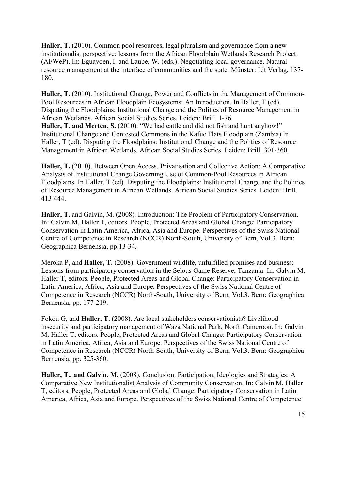**Haller, T.** (2010). Common pool resources, legal pluralism and governance from a new institutionalist perspective: lessons from the African Floodplain Wetlands Research Project (AFWeP). In: Eguavoen, I. and Laube, W. (eds.). Negotiating local governance. Natural resource management at the interface of communities and the state. Münster: Lit Verlag, 137- 180.

Haller, T. (2010). Institutional Change, Power and Conflicts in the Management of Common-Pool Resources in African Floodplain Ecosystems: An Introduction. In Haller, T (ed). Disputing the Floodplains: Institutional Change and the Politics of Resource Management in African Wetlands. African Social Studies Series. Leiden: Brill. 1-76. **Haller, T. and Merten, S.** (2010). "We had cattle and did not fish and hunt anyhow!" Institutional Change and Contested Commons in the Kafue Flats Floodplain (Zambia) In Haller, T (ed). Disputing the Floodplains: Institutional Change and the Politics of Resource Management in African Wetlands. African Social Studies Series. Leiden: Brill. 301-360.

**Haller, T.** (2010). Between Open Access, Privatisation and Collective Action: A Comparative Analysis of Institutional Change Governing Use of Common-Pool Resources in African Floodplains. In Haller, T (ed). Disputing the Floodplains: Institutional Change and the Politics of Resource Management in African Wetlands. African Social Studies Series. Leiden: Brill. 413-444.

**Haller, T.** and Galvin, M. (2008). Introduction: The Problem of Participatory Conservation. In: Galvin M, Haller T, editors. People, Protected Areas and Global Change: Participatory Conservation in Latin America, Africa, Asia and Europe. Perspectives of the Swiss National Centre of Competence in Research (NCCR) North-South, University of Bern, Vol.3. Bern: Geographica Bernensia, pp.13-34.

Meroka P, and **Haller, T.** (2008). Government wildlife, unfulfilled promises and business: Lessons from participatory conservation in the Selous Game Reserve, Tanzania. In: Galvin M, Haller T, editors. People, Protected Areas and Global Change: Participatory Conservation in Latin America, Africa, Asia and Europe. Perspectives of the Swiss National Centre of Competence in Research (NCCR) North-South, University of Bern, Vol.3. Bern: Geographica Bernensia, pp. 177-219.

Fokou G, and **Haller, T.** (2008). Are local stakeholders conservationists? Livelihood insecurity and participatory management of Waza National Park, North Cameroon. In: Galvin M, Haller T, editors. People, Protected Areas and Global Change: Participatory Conservation in Latin America, Africa, Asia and Europe. Perspectives of the Swiss National Centre of Competence in Research (NCCR) North-South, University of Bern, Vol.3. Bern: Geographica Bernensia, pp. 325-360.

**Haller, T., and Galvin, M.** (2008). Conclusion. Participation, Ideologies and Strategies: A Comparative New Institutionalist Analysis of Community Conservation. In: Galvin M, Haller T, editors. People, Protected Areas and Global Change: Participatory Conservation in Latin America, Africa, Asia and Europe. Perspectives of the Swiss National Centre of Competence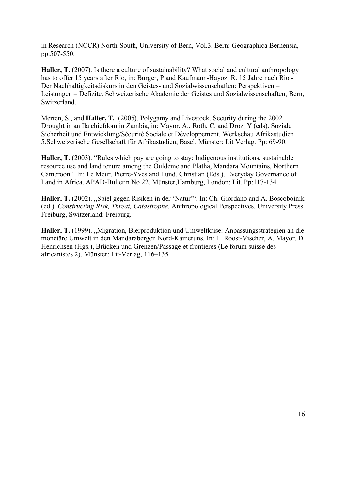in Research (NCCR) North-South, University of Bern, Vol.3. Bern: Geographica Bernensia, pp.507-550.

**Haller, T.** (2007). Is there a culture of sustainability? What social and cultural anthropology has to offer 15 years after Rio, in: Burger, P and Kaufmann-Hayoz, R. 15 Jahre nach Rio - Der Nachhaltigkeitsdiskurs in den Geistes- und Sozialwissenschaften: Perspektiven – Leistungen – Defizite. Schweizerische Akademie der Geistes und Sozialwissenschaften, Bern, Switzerland.

Merten, S., and **Haller, T.** (2005). Polygamy and Livestock. Security during the 2002 Drought in an Ila chiefdom in Zambia, in: Mayor, A., Roth, C. and Droz, Y (eds). Soziale Sicherheit und Entwicklung/Sécurité Sociale et Développement. Werkschau Afrikastudien 5.Schweizerische Gesellschaft für Afrikastudien, Basel. Münster: Lit Verlag. Pp: 69-90.

**Haller, T.** (2003). "Rules which pay are going to stay: Indigenous institutions, sustainable resource use and land tenure among the Ouldeme and Platha, Mandara Mountains, Northern Cameroon". In: Le Meur, Pierre-Yves and Lund, Christian (Eds.). Everyday Governance of Land in Africa. APAD-Bulletin No 22. Münster,Hamburg, London: Lit. Pp:117-134.

Haller, T. (2002). "Spiel gegen Risiken in der 'Natur'", In: Ch. Giordano and A. Boscoboinik (ed.). *Constructing Risk, Threat, Catastrophe*. Anthropological Perspectives. University Press Freiburg, Switzerland: Freiburg.

Haller, T. (1999). "Migration, Bierproduktion und Umweltkrise: Anpassungsstrategien an die monetäre Umwelt in den Mandarabergen Nord-Kameruns. In: L. Roost-Vischer, A. Mayor, D. Henrichsen (Hgs.), Brücken und Grenzen/Passage et frontières (Le forum suisse des africanistes 2). Münster: Lit-Verlag, 116–135.